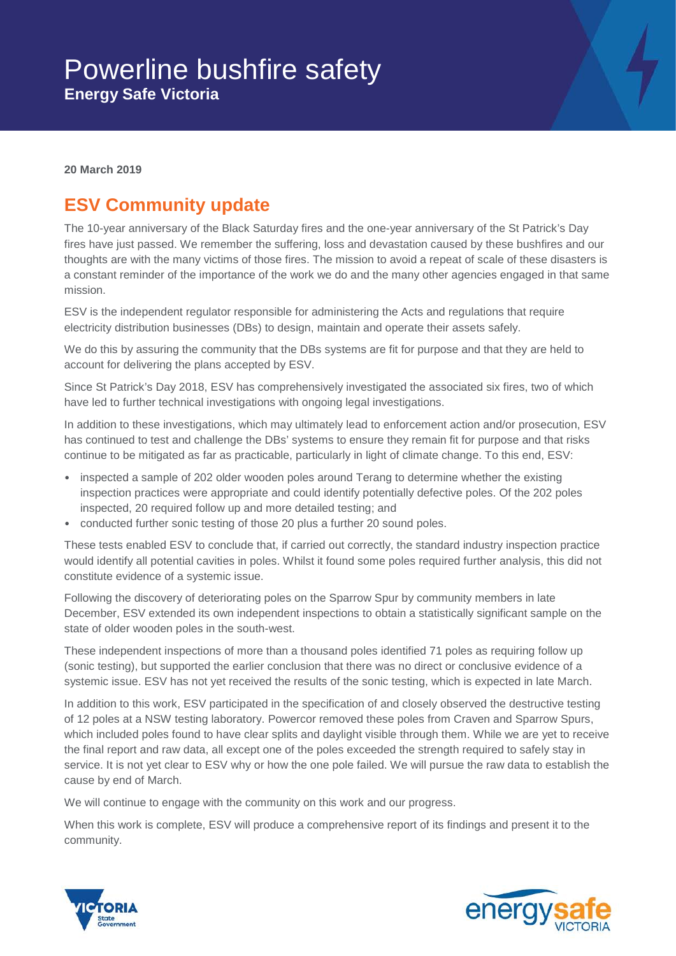

**20 March 2019**

## **ESV Community update**

The 10-year anniversary of the Black Saturday fires and the one-year anniversary of the St Patrick's Day fires have just passed. We remember the suffering, loss and devastation caused by these bushfires and our thoughts are with the many victims of those fires. The mission to avoid a repeat of scale of these disasters is a constant reminder of the importance of the work we do and the many other agencies engaged in that same mission.

ESV is the independent regulator responsible for administering the Acts and regulations that require electricity distribution businesses (DBs) to design, maintain and operate their assets safely.

We do this by assuring the community that the DBs systems are fit for purpose and that they are held to account for delivering the plans accepted by ESV.

Since St Patrick's Day 2018, ESV has comprehensively investigated the associated six fires, two of which have led to further technical investigations with ongoing legal investigations.

In addition to these investigations, which may ultimately lead to enforcement action and/or prosecution, ESV has continued to test and challenge the DBs' systems to ensure they remain fit for purpose and that risks continue to be mitigated as far as practicable, particularly in light of climate change. To this end, ESV:

- inspected a sample of 202 older wooden poles around Terang to determine whether the existing inspection practices were appropriate and could identify potentially defective poles. Of the 202 poles inspected, 20 required follow up and more detailed testing; and
- conducted further sonic testing of those 20 plus a further 20 sound poles.

These tests enabled ESV to conclude that, if carried out correctly, the standard industry inspection practice would identify all potential cavities in poles. Whilst it found some poles required further analysis, this did not constitute evidence of a systemic issue.

Following the discovery of deteriorating poles on the Sparrow Spur by community members in late December, ESV extended its own independent inspections to obtain a statistically significant sample on the state of older wooden poles in the south-west.

These independent inspections of more than a thousand poles identified 71 poles as requiring follow up (sonic testing), but supported the earlier conclusion that there was no direct or conclusive evidence of a systemic issue. ESV has not yet received the results of the sonic testing, which is expected in late March.

In addition to this work, ESV participated in the specification of and closely observed the destructive testing of 12 poles at a NSW testing laboratory. Powercor removed these poles from Craven and Sparrow Spurs, which included poles found to have clear splits and daylight visible through them. While we are yet to receive the final report and raw data, all except one of the poles exceeded the strength required to safely stay in service. It is not yet clear to ESV why or how the one pole failed. We will pursue the raw data to establish the cause by end of March.

We will continue to engage with the community on this work and our progress.

When this work is complete, ESV will produce a comprehensive report of its findings and present it to the community.